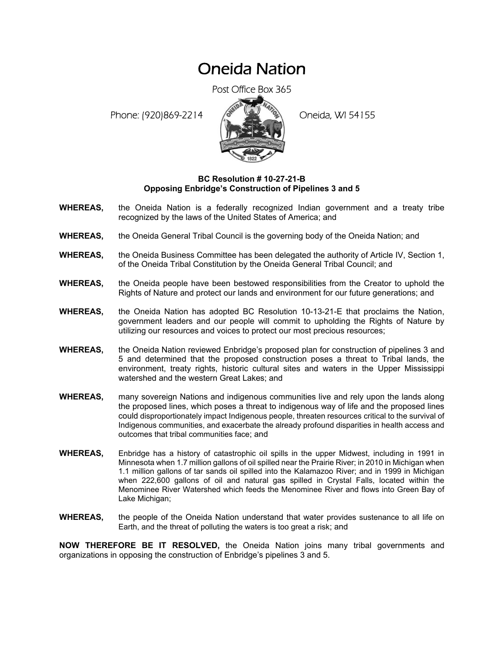## Oneida Nation

Post Office Box 365

Phone: (920)869-2214 (8 April 2) Oneida, WI 54155



## **BC Resolution # 10-27-21-B Opposing Enbridge's Construction of Pipelines 3 and 5**

- **WHEREAS,** the Oneida Nation is a federally recognized Indian government and a treaty tribe recognized by the laws of the United States of America; and
- **WHEREAS,** the Oneida General Tribal Council is the governing body of the Oneida Nation; and
- **WHEREAS,** the Oneida Business Committee has been delegated the authority of Article IV, Section 1, of the Oneida Tribal Constitution by the Oneida General Tribal Council; and
- **WHEREAS,** the Oneida people have been bestowed responsibilities from the Creator to uphold the Rights of Nature and protect our lands and environment for our future generations; and
- **WHEREAS,** the Oneida Nation has adopted BC Resolution 10-13-21-E that proclaims the Nation, government leaders and our people will commit to upholding the Rights of Nature by utilizing our resources and voices to protect our most precious resources;
- **WHEREAS,** the Oneida Nation reviewed Enbridge's proposed plan for construction of pipelines 3 and 5 and determined that the proposed construction poses a threat to Tribal lands, the environment, treaty rights, historic cultural sites and waters in the Upper Mississippi watershed and the western Great Lakes; and
- **WHEREAS,** many sovereign Nations and indigenous communities live and rely upon the lands along the proposed lines, which poses a threat to indigenous way of life and the proposed lines could disproportionately impact Indigenous people, threaten resources critical to the survival of Indigenous communities, and exacerbate the already profound disparities in health access and outcomes that tribal communities face; and
- **WHEREAS,** Enbridge has a history of catastrophic oil spills in the upper Midwest, including in 1991 in Minnesota when 1.7 million gallons of oil spilled near the Prairie River; in 2010 in Michigan when 1.1 million gallons of tar sands oil spilled into the Kalamazoo River; and in 1999 in Michigan when 222,600 gallons of oil and natural gas spilled in Crystal Falls, located within the Menominee River Watershed which feeds the Menominee River and flows into Green Bay of Lake Michigan;
- **WHEREAS,** the people of the Oneida Nation understand that water provides sustenance to all life on Earth, and the threat of polluting the waters is too great a risk; and

**NOW THEREFORE BE IT RESOLVED,** the Oneida Nation joins many tribal governments and organizations in opposing the construction of Enbridge's pipelines 3 and 5.